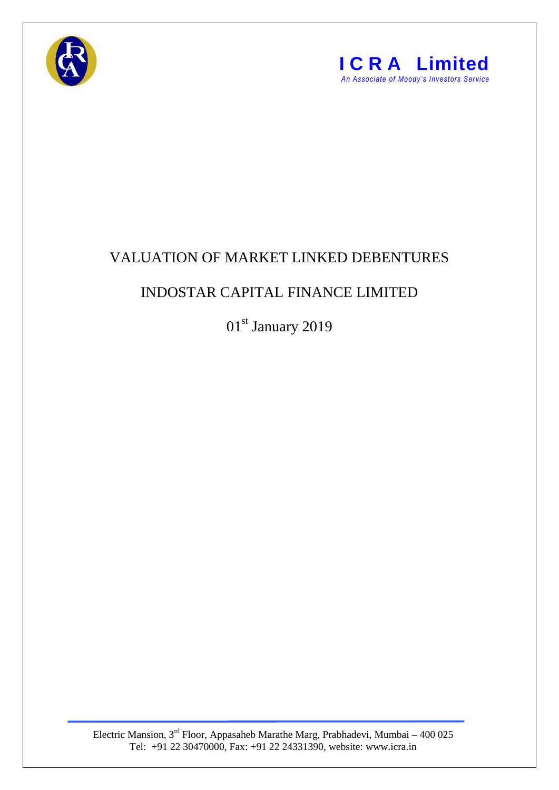



## VALUATION OF MARKET LINKED DEBENTURES

## INDOSTAR CAPITAL FINANCE LIMITED

01st January 2019

Electric Mansion,  $3<sup>rd</sup>$  Floor, Appasaheb Marathe Marg, Prabhadevi, Mumbai – 400 025 Tel: +91 22 30470000, Fax: +91 22 24331390, website: www.icra.in